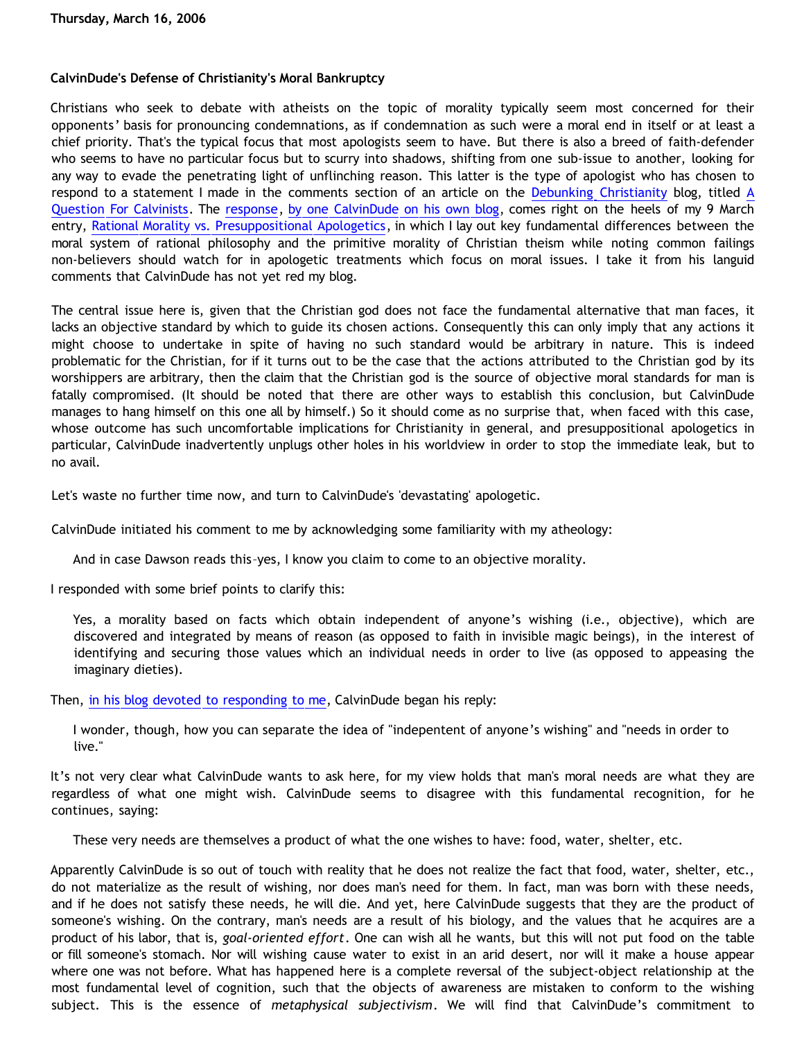# **CalvinDude's Defense of Christianity's Moral Bankruptcy**

Christians who seek to debate with atheists on the topic of morality typically seem most concerned for their opponents' basis for pronouncing condemnations, as if condemnation as such were a moral end in itself or at least a chief priority. That's the typical focus that most apologists seem to have. But there is also a breed of faith-defender who seems to have no particular focus but to scurry into shadows, shifting from one sub-issue to another, looking for any way to evade the penetrating light of unflinching reason. This latter is the type of apologist who has chosen to respond to a statement I made in the comments section of an article on the [Debunking Christianity](http://debunkingchristianity.blogspot.com/) blog, titled [A](http://debunkingchristianity.blogspot.com/2006/03/question-for-calvinists.html) [Question For Calvinists](http://debunkingchristianity.blogspot.com/2006/03/question-for-calvinists.html). The [response](http://calvindude.com/dude/blog/2006/03/a-response-to-dawson/), [by one CalvinDude on his own blog,](http://www.calvindude.com/dude/) comes right on the heels of my 9 March entry, [Rational Morality vs. Presuppositional Apologetics](http://bahnsenburner.blogspot.com/2006/03/rational-morality-vs-presuppositional.html), in which I lay out key fundamental differences between the moral system of rational philosophy and the primitive morality of Christian theism while noting common failings non-believers should watch for in apologetic treatments which focus on moral issues. I take it from his languid comments that CalvinDude has not yet red my blog.

The central issue here is, given that the Christian god does not face the fundamental alternative that man faces, it lacks an objective standard by which to guide its chosen actions. Consequently this can only imply that any actions it might choose to undertake in spite of having no such standard would be arbitrary in nature. This is indeed problematic for the Christian, for if it turns out to be the case that the actions attributed to the Christian god by its worshippers are arbitrary, then the claim that the Christian god is the source of objective moral standards for man is fatally compromised. (It should be noted that there are other ways to establish this conclusion, but CalvinDude manages to hang himself on this one all by himself.) So it should come as no surprise that, when faced with this case, whose outcome has such uncomfortable implications for Christianity in general, and presuppositional apologetics in particular, CalvinDude inadvertently unplugs other holes in his worldview in order to stop the immediate leak, but to no avail.

Let's waste no further time now, and turn to CalvinDude's 'devastating' apologetic.

CalvinDude initiated his comment to me by acknowledging some familiarity with my atheology:

And in case Dawson reads this–yes, I know you claim to come to an objective morality.

I responded with some brief points to clarify this:

Yes, a morality based on facts which obtain independent of anyone's wishing (i.e., objective), which are discovered and integrated by means of reason (as opposed to faith in invisible magic beings), in the interest of identifying and securing those values which an individual needs in order to live (as opposed to appeasing the imaginary dieties).

Then, [in his blog devoted to responding to me,](http://calvindude.com/dude/blog/2006/03/a-response-to-dawson/) CalvinDude began his reply:

I wonder, though, how you can separate the idea of "indepentent of anyone's wishing" and "needs in order to live."

It's not very clear what CalvinDude wants to ask here, for my view holds that man's moral needs are what they are regardless of what one might wish. CalvinDude seems to disagree with this fundamental recognition, for he continues, saying:

These very needs are themselves a product of what the one wishes to have: food, water, shelter, etc.

Apparently CalvinDude is so out of touch with reality that he does not realize the fact that food, water, shelter, etc., do not materialize as the result of wishing, nor does man's need for them. In fact, man was born with these needs, and if he does not satisfy these needs, he will die. And yet, here CalvinDude suggests that they are the product of someone's wishing. On the contrary, man's needs are a result of his biology, and the values that he acquires are a product of his labor, that is, *goal-oriented effort*. One can wish all he wants, but this will not put food on the table or fill someone's stomach. Nor will wishing cause water to exist in an arid desert, nor will it make a house appear where one was not before. What has happened here is a complete reversal of the subject-object relationship at the most fundamental level of cognition, such that the objects of awareness are mistaken to conform to the wishing subject. This is the essence of *metaphysical subjectivism*. We will find that CalvinDude's commitment to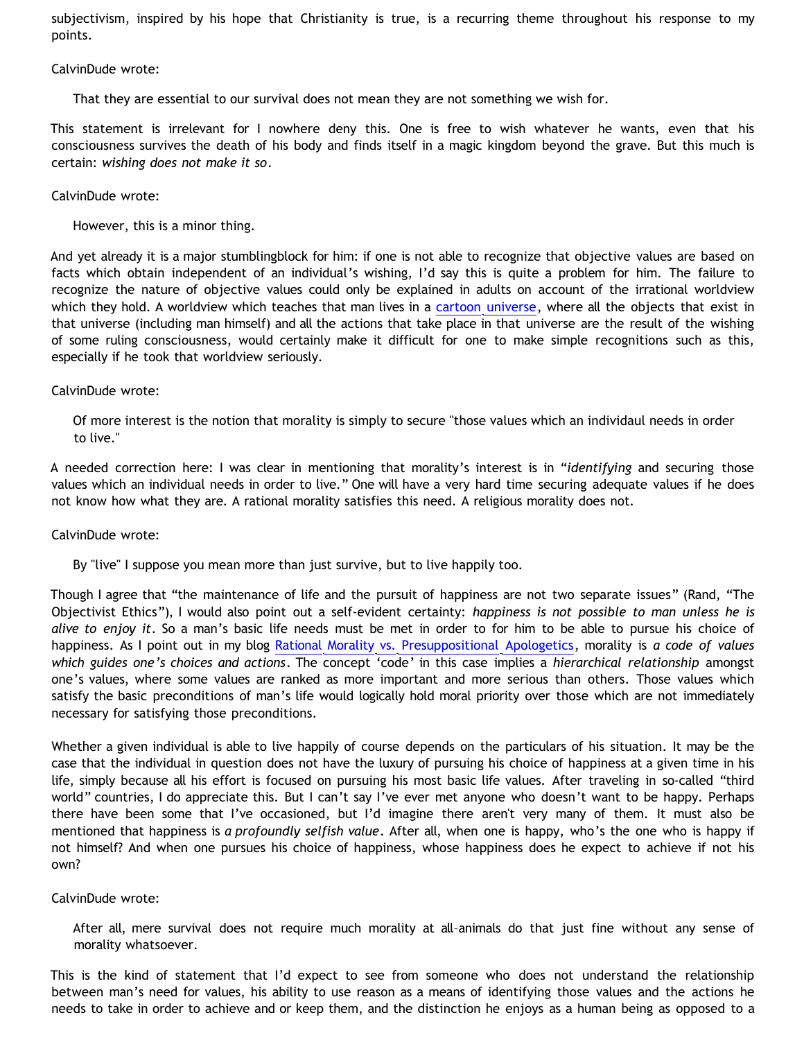subjectivism, inspired by his hope that Christianity is true, is a recurring theme throughout his response to my points.

CalvinDude wrote:

That they are essential to our survival does not mean they are not something we wish for.

This statement is irrelevant for I nowhere deny this. One is free to wish whatever he wants, even that his consciousness survives the death of his body and finds itself in a magic kingdom beyond the grave. But this much is certain: *wishing does not make it so*.

CalvinDude wrote:

However, this is a minor thing.

And yet already it is a major stumblingblock for him: if one is not able to recognize that objective values are based on facts which obtain independent of an individual's wishing, I'd say this is quite a problem for him. The failure to recognize the nature of objective values could only be explained in adults on account of the irrational worldview which they hold. A worldview which teaches that man lives in a [cartoon universe](http://www.strongatheism.net/library/atheology/cartoon_universe_of_theism/), where all the objects that exist in that universe (including man himself) and all the actions that take place in that universe are the result of the wishing of some ruling consciousness, would certainly make it difficult for one to make simple recognitions such as this, especially if he took that worldview seriously.

CalvinDude wrote:

Of more interest is the notion that morality is simply to secure "those values which an individaul needs in order to live."

A needed correction here: I was clear in mentioning that morality's interest is in "*identifying* and securing those values which an individual needs in order to live." One will have a very hard time securing adequate values if he does not know how what they are. A rational morality satisfies this need. A religious morality does not.

CalvinDude wrote:

By "live" I suppose you mean more than just survive, but to live happily too.

Though I agree that "the maintenance of life and the pursuit of happiness are not two separate issues" (Rand, "The Objectivist Ethics"), I would also point out a self-evident certainty: *happiness is not possible to man unless he is alive to enjoy it*. So a man's basic life needs must be met in order to for him to be able to pursue his choice of happiness. As I point out in my blog [Rational Morality vs. Presuppositional Apologetics,](http://bahnsenburner.blogspot.com/2006/03/rational-morality-vs-presuppositional.html) morality is *a code of values which guides one's choices and actions*. The concept 'code' in this case implies a *hierarchical relationship* amongst one's values, where some values are ranked as more important and more serious than others. Those values which satisfy the basic preconditions of man's life would logically hold moral priority over those which are not immediately necessary for satisfying those preconditions.

Whether a given individual is able to live happily of course depends on the particulars of his situation. It may be the case that the individual in question does not have the luxury of pursuing his choice of happiness at a given time in his life, simply because all his effort is focused on pursuing his most basic life values. After traveling in so-called "third world" countries, I do appreciate this. But I can't say I've ever met anyone who doesn't want to be happy. Perhaps there have been some that I've occasioned, but I'd imagine there aren't very many of them. It must also be mentioned that happiness is *a profoundly selfish value*. After all, when one is happy, who's the one who is happy if not himself? And when one pursues his choice of happiness, whose happiness does he expect to achieve if not his own?

CalvinDude wrote:

After all, mere survival does not require much morality at all–animals do that just fine without any sense of morality whatsoever.

This is the kind of statement that I'd expect to see from someone who does not understand the relationship between man's need for values, his ability to use reason as a means of identifying those values and the actions he needs to take in order to achieve and or keep them, and the distinction he enjoys as a human being as opposed to a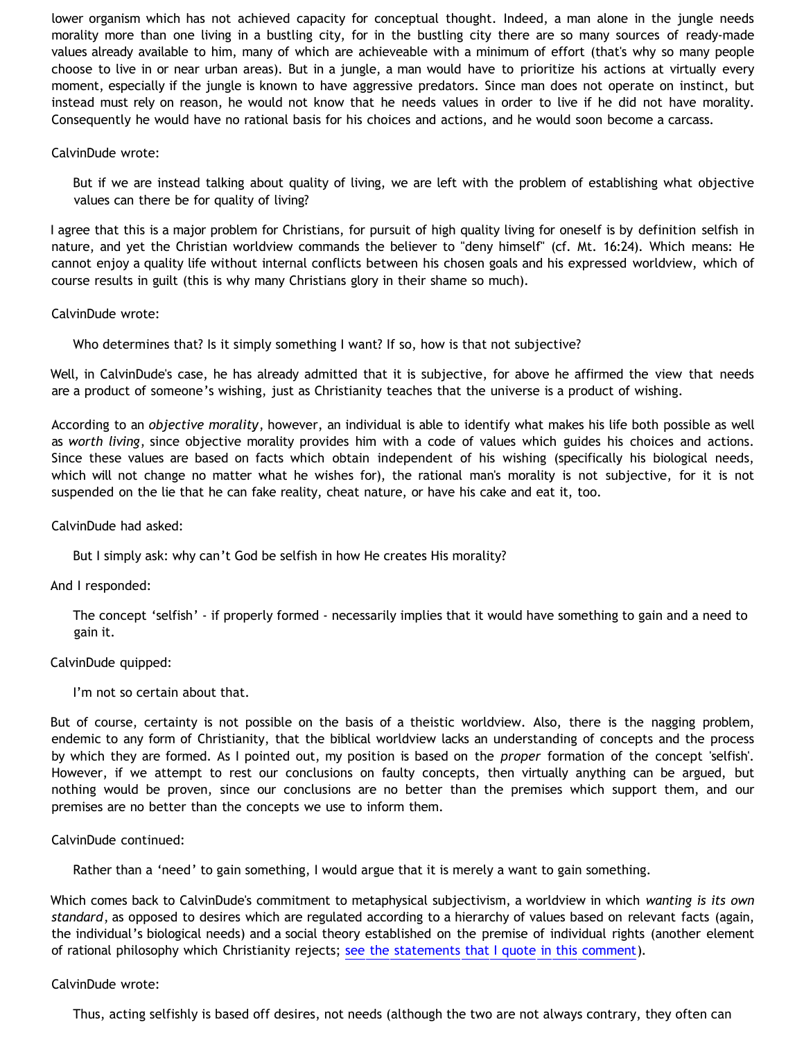lower organism which has not achieved capacity for conceptual thought. Indeed, a man alone in the jungle needs morality more than one living in a bustling city, for in the bustling city there are so many sources of ready-made values already available to him, many of which are achieveable with a minimum of effort (that's why so many people choose to live in or near urban areas). But in a jungle, a man would have to prioritize his actions at virtually every moment, especially if the jungle is known to have aggressive predators. Since man does not operate on instinct, but instead must rely on reason, he would not know that he needs values in order to live if he did not have morality. Consequently he would have no rational basis for his choices and actions, and he would soon become a carcass.

### CalvinDude wrote:

But if we are instead talking about quality of living, we are left with the problem of establishing what objective values can there be for quality of living?

I agree that this is a major problem for Christians, for pursuit of high quality living for oneself is by definition selfish in nature, and yet the Christian worldview commands the believer to "deny himself" (cf. Mt. 16:24). Which means: He cannot enjoy a quality life without internal conflicts between his chosen goals and his expressed worldview, which of course results in guilt (this is why many Christians glory in their shame so much).

# CalvinDude wrote:

Who determines that? Is it simply something I want? If so, how is that not subjective?

Well, in CalvinDude's case, he has already admitted that it is subjective, for above he affirmed the view that needs are a product of someone's wishing, just as Christianity teaches that the universe is a product of wishing.

According to an *objective morality*, however, an individual is able to identify what makes his life both possible as well as *worth living*, since objective morality provides him with a code of values which guides his choices and actions. Since these values are based on facts which obtain independent of his wishing (specifically his biological needs, which will not change no matter what he wishes for), the rational man's morality is not subjective, for it is not suspended on the lie that he can fake reality, cheat nature, or have his cake and eat it, too.

### CalvinDude had asked:

But I simply ask: why can't God be selfish in how He creates His morality?

#### And I responded:

The concept 'selfish' - if properly formed - necessarily implies that it would have something to gain and a need to gain it.

#### CalvinDude quipped:

I'm not so certain about that.

But of course, certainty is not possible on the basis of a theistic worldview. Also, there is the nagging problem, endemic to any form of Christianity, that the biblical worldview lacks an understanding of concepts and the process by which they are formed. As I pointed out, my position is based on the *proper* formation of the concept 'selfish'. However, if we attempt to rest our conclusions on faulty concepts, then virtually anything can be argued, but nothing would be proven, since our conclusions are no better than the premises which support them, and our premises are no better than the concepts we use to inform them.

#### CalvinDude continued:

Rather than a 'need' to gain something, I would argue that it is merely a want to gain something.

Which comes back to CalvinDude's commitment to metaphysical subjectivism, a worldview in which *wanting is its own standard*, as opposed to desires which are regulated according to a hierarchy of values based on relevant facts (again, the individual's biological needs) and a social theory established on the premise of individual rights (another element of rational philosophy which Christianity rejects; [see the statements that I quote in this comment](http://www.blogger.com/comment.g?blogID=21219785&postID=114070181938386445)).

#### CalvinDude wrote:

Thus, acting selfishly is based off desires, not needs (although the two are not always contrary, they often can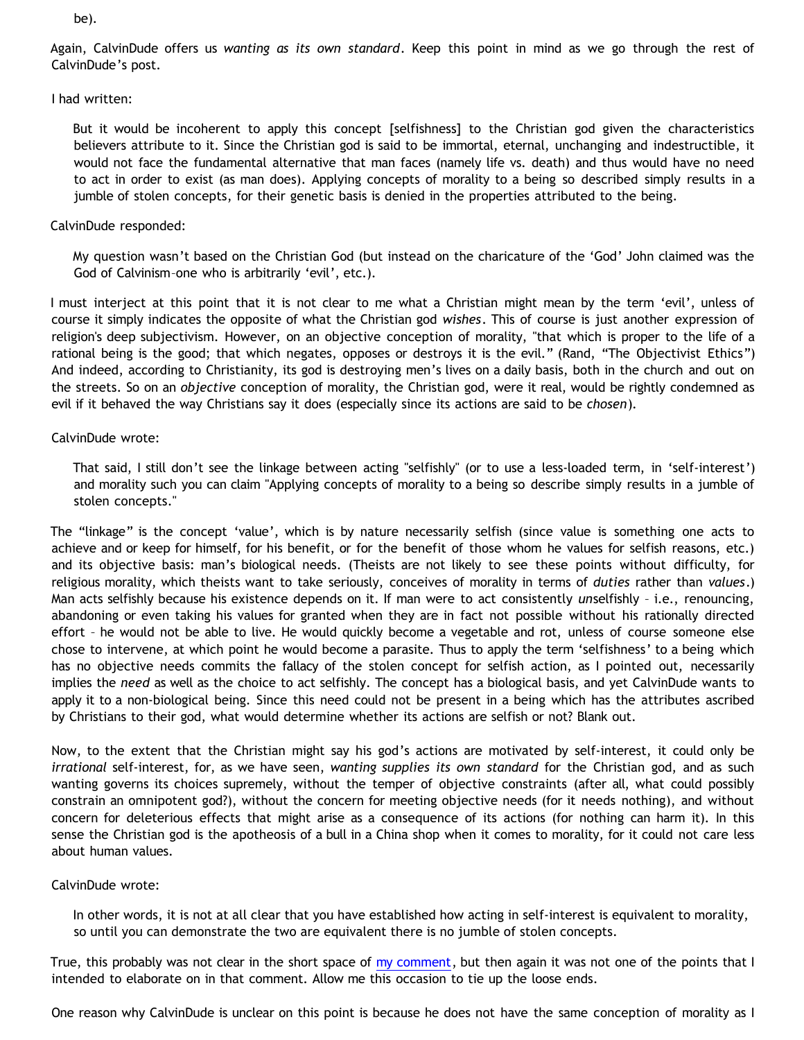be).

Again, CalvinDude offers us *wanting as its own standard*. Keep this point in mind as we go through the rest of CalvinDude's post.

I had written:

But it would be incoherent to apply this concept [selfishness] to the Christian god given the characteristics believers attribute to it. Since the Christian god is said to be immortal, eternal, unchanging and indestructible, it would not face the fundamental alternative that man faces (namely life vs. death) and thus would have no need to act in order to exist (as man does). Applying concepts of morality to a being so described simply results in a jumble of stolen concepts, for their genetic basis is denied in the properties attributed to the being.

# CalvinDude responded:

My question wasn't based on the Christian God (but instead on the charicature of the 'God' John claimed was the God of Calvinism–one who is arbitrarily 'evil', etc.).

I must interject at this point that it is not clear to me what a Christian might mean by the term 'evil', unless of course it simply indicates the opposite of what the Christian god *wishes*. This of course is just another expression of religion's deep subjectivism. However, on an objective conception of morality, "that which is proper to the life of a rational being is the good; that which negates, opposes or destroys it is the evil." (Rand, "The Objectivist Ethics") And indeed, according to Christianity, its god is destroying men's lives on a daily basis, both in the church and out on the streets. So on an *objective* conception of morality, the Christian god, were it real, would be rightly condemned as evil if it behaved the way Christians say it does (especially since its actions are said to be *chosen*).

# CalvinDude wrote:

That said, I still don't see the linkage between acting "selfishly" (or to use a less-loaded term, in 'self-interest') and morality such you can claim "Applying concepts of morality to a being so describe simply results in a jumble of stolen concepts."

The "linkage" is the concept 'value', which is by nature necessarily selfish (since value is something one acts to achieve and or keep for himself, for his benefit, or for the benefit of those whom he values for selfish reasons, etc.) and its objective basis: man's biological needs. (Theists are not likely to see these points without difficulty, for religious morality, which theists want to take seriously, conceives of morality in terms of *duties* rather than *values*.) Man acts selfishly because his existence depends on it. If man were to act consistently *un*selfishly – i.e., renouncing, abandoning or even taking his values for granted when they are in fact not possible without his rationally directed effort – he would not be able to live. He would quickly become a vegetable and rot, unless of course someone else chose to intervene, at which point he would become a parasite. Thus to apply the term 'selfishness' to a being which has no objective needs commits the fallacy of the stolen concept for selfish action, as I pointed out, necessarily implies the *need* as well as the choice to act selfishly. The concept has a biological basis, and yet CalvinDude wants to apply it to a non-biological being. Since this need could not be present in a being which has the attributes ascribed by Christians to their god, what would determine whether its actions are selfish or not? Blank out.

Now, to the extent that the Christian might say his god's actions are motivated by self-interest, it could only be *irrational* self-interest, for, as we have seen, *wanting supplies its own standard* for the Christian god, and as such wanting governs its choices supremely, without the temper of objective constraints (after all, what could possibly constrain an omnipotent god?), without the concern for meeting objective needs (for it needs nothing), and without concern for deleterious effects that might arise as a consequence of its actions (for nothing can harm it). In this sense the Christian god is the apotheosis of a bull in a China shop when it comes to morality, for it could not care less about human values.

#### CalvinDude wrote:

In other words, it is not at all clear that you have established how acting in self-interest is equivalent to morality, so until you can demonstrate the two are equivalent there is no jumble of stolen concepts.

True, this probably was not clear in the short space of [my comment](http://debunkingchristianity.blogspot.com/2006/03/question-for-calvinists.html), but then again it was not one of the points that I intended to elaborate on in that comment. Allow me this occasion to tie up the loose ends.

One reason why CalvinDude is unclear on this point is because he does not have the same conception of morality as I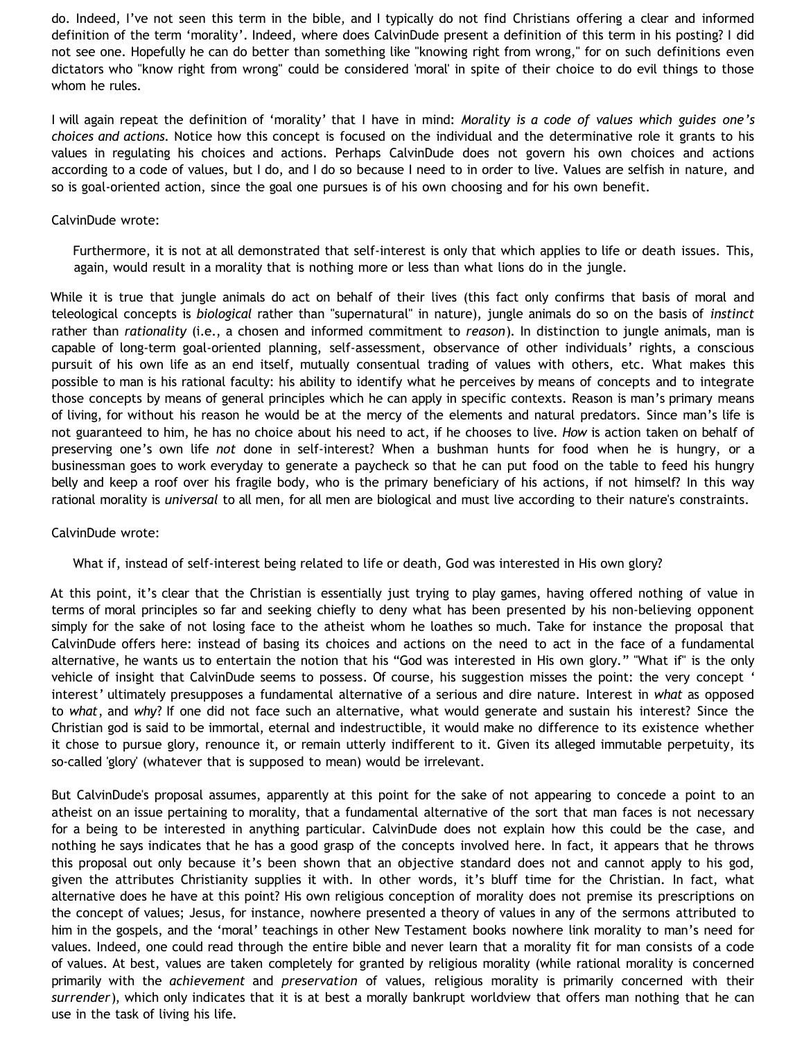do. Indeed, I've not seen this term in the bible, and I typically do not find Christians offering a clear and informed definition of the term 'morality'. Indeed, where does CalvinDude present a definition of this term in his posting? I did not see one. Hopefully he can do better than something like "knowing right from wrong," for on such definitions even dictators who "know right from wrong" could be considered 'moral' in spite of their choice to do evil things to those whom he rules.

I will again repeat the definition of 'morality' that I have in mind: *Morality is a code of values which guides one's choices and actions.* Notice how this concept is focused on the individual and the determinative role it grants to his values in regulating his choices and actions. Perhaps CalvinDude does not govern his own choices and actions according to a code of values, but I do, and I do so because I need to in order to live. Values are selfish in nature, and so is goal-oriented action, since the goal one pursues is of his own choosing and for his own benefit.

# CalvinDude wrote:

Furthermore, it is not at all demonstrated that self-interest is only that which applies to life or death issues. This, again, would result in a morality that is nothing more or less than what lions do in the jungle.

While it is true that jungle animals do act on behalf of their lives (this fact only confirms that basis of moral and teleological concepts is *biological* rather than "supernatural" in nature), jungle animals do so on the basis of *instinct* rather than *rationality* (i.e., a chosen and informed commitment to *reason*). In distinction to jungle animals, man is capable of long-term goal-oriented planning, self-assessment, observance of other individuals' rights, a conscious pursuit of his own life as an end itself, mutually consentual trading of values with others, etc. What makes this possible to man is his rational faculty: his ability to identify what he perceives by means of concepts and to integrate those concepts by means of general principles which he can apply in specific contexts. Reason is man's primary means of living, for without his reason he would be at the mercy of the elements and natural predators. Since man's life is not guaranteed to him, he has no choice about his need to act, if he chooses to live. *How* is action taken on behalf of preserving one's own life *not* done in self-interest? When a bushman hunts for food when he is hungry, or a businessman goes to work everyday to generate a paycheck so that he can put food on the table to feed his hungry belly and keep a roof over his fragile body, who is the primary beneficiary of his actions, if not himself? In this way rational morality is *universal* to all men, for all men are biological and must live according to their nature's constraints.

#### CalvinDude wrote:

# What if, instead of self-interest being related to life or death, God was interested in His own glory?

At this point, it's clear that the Christian is essentially just trying to play games, having offered nothing of value in terms of moral principles so far and seeking chiefly to deny what has been presented by his non-believing opponent simply for the sake of not losing face to the atheist whom he loathes so much. Take for instance the proposal that CalvinDude offers here: instead of basing its choices and actions on the need to act in the face of a fundamental alternative, he wants us to entertain the notion that his "God was interested in His own glory." "What if" is the only vehicle of insight that CalvinDude seems to possess. Of course, his suggestion misses the point: the very concept ' interest' ultimately presupposes a fundamental alternative of a serious and dire nature. Interest in *what* as opposed to *what*, and *why*? If one did not face such an alternative, what would generate and sustain his interest? Since the Christian god is said to be immortal, eternal and indestructible, it would make no difference to its existence whether it chose to pursue glory, renounce it, or remain utterly indifferent to it. Given its alleged immutable perpetuity, its so-called 'glory' (whatever that is supposed to mean) would be irrelevant.

But CalvinDude's proposal assumes, apparently at this point for the sake of not appearing to concede a point to an atheist on an issue pertaining to morality, that a fundamental alternative of the sort that man faces is not necessary for a being to be interested in anything particular. CalvinDude does not explain how this could be the case, and nothing he says indicates that he has a good grasp of the concepts involved here. In fact, it appears that he throws this proposal out only because it's been shown that an objective standard does not and cannot apply to his god, given the attributes Christianity supplies it with. In other words, it's bluff time for the Christian. In fact, what alternative does he have at this point? His own religious conception of morality does not premise its prescriptions on the concept of values; Jesus, for instance, nowhere presented a theory of values in any of the sermons attributed to him in the gospels, and the 'moral' teachings in other New Testament books nowhere link morality to man's need for values. Indeed, one could read through the entire bible and never learn that a morality fit for man consists of a code of values. At best, values are taken completely for granted by religious morality (while rational morality is concerned primarily with the *achievement* and *preservation* of values, religious morality is primarily concerned with their *surrender*), which only indicates that it is at best a morally bankrupt worldview that offers man nothing that he can use in the task of living his life.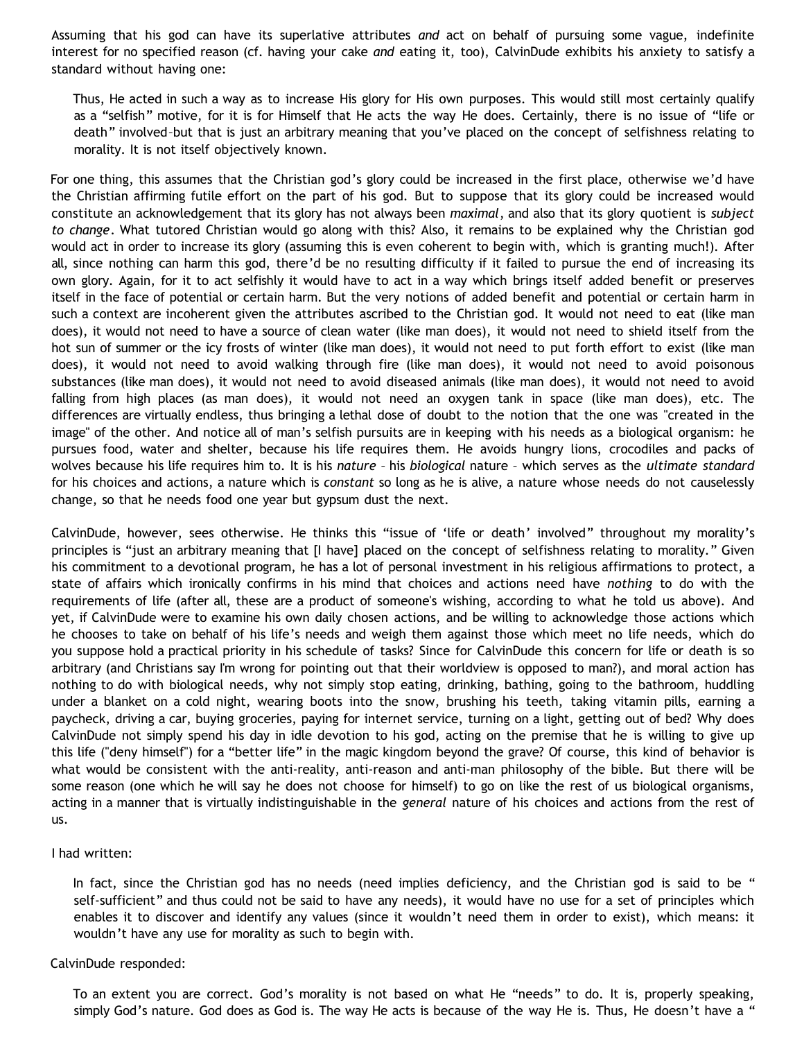Assuming that his god can have its superlative attributes *and* act on behalf of pursuing some vague, indefinite interest for no specified reason (cf. having your cake *and* eating it, too), CalvinDude exhibits his anxiety to satisfy a standard without having one:

Thus, He acted in such a way as to increase His glory for His own purposes. This would still most certainly qualify as a "selfish" motive, for it is for Himself that He acts the way He does. Certainly, there is no issue of "life or death" involved–but that is just an arbitrary meaning that you've placed on the concept of selfishness relating to morality. It is not itself objectively known.

For one thing, this assumes that the Christian god's glory could be increased in the first place, otherwise we'd have the Christian affirming futile effort on the part of his god. But to suppose that its glory could be increased would constitute an acknowledgement that its glory has not always been *maximal*, and also that its glory quotient is *subject to change*. What tutored Christian would go along with this? Also, it remains to be explained why the Christian god would act in order to increase its glory (assuming this is even coherent to begin with, which is granting much!). After all, since nothing can harm this god, there'd be no resulting difficulty if it failed to pursue the end of increasing its own glory. Again, for it to act selfishly it would have to act in a way which brings itself added benefit or preserves itself in the face of potential or certain harm. But the very notions of added benefit and potential or certain harm in such a context are incoherent given the attributes ascribed to the Christian god. It would not need to eat (like man does), it would not need to have a source of clean water (like man does), it would not need to shield itself from the hot sun of summer or the icy frosts of winter (like man does), it would not need to put forth effort to exist (like man does), it would not need to avoid walking through fire (like man does), it would not need to avoid poisonous substances (like man does), it would not need to avoid diseased animals (like man does), it would not need to avoid falling from high places (as man does), it would not need an oxygen tank in space (like man does), etc. The differences are virtually endless, thus bringing a lethal dose of doubt to the notion that the one was "created in the image" of the other. And notice all of man's selfish pursuits are in keeping with his needs as a biological organism: he pursues food, water and shelter, because his life requires them. He avoids hungry lions, crocodiles and packs of wolves because his life requires him to. It is his *nature* – his *biological* nature – which serves as the *ultimate standard* for his choices and actions, a nature which is *constant* so long as he is alive, a nature whose needs do not causelessly change, so that he needs food one year but gypsum dust the next.

CalvinDude, however, sees otherwise. He thinks this "issue of 'life or death' involved" throughout my morality's principles is "just an arbitrary meaning that [I have] placed on the concept of selfishness relating to morality." Given his commitment to a devotional program, he has a lot of personal investment in his religious affirmations to protect, a state of affairs which ironically confirms in his mind that choices and actions need have *nothing* to do with the requirements of life (after all, these are a product of someone's wishing, according to what he told us above). And yet, if CalvinDude were to examine his own daily chosen actions, and be willing to acknowledge those actions which he chooses to take on behalf of his life's needs and weigh them against those which meet no life needs, which do you suppose hold a practical priority in his schedule of tasks? Since for CalvinDude this concern for life or death is so arbitrary (and Christians say I'm wrong for pointing out that their worldview is opposed to man?), and moral action has nothing to do with biological needs, why not simply stop eating, drinking, bathing, going to the bathroom, huddling under a blanket on a cold night, wearing boots into the snow, brushing his teeth, taking vitamin pills, earning a paycheck, driving a car, buying groceries, paying for internet service, turning on a light, getting out of bed? Why does CalvinDude not simply spend his day in idle devotion to his god, acting on the premise that he is willing to give up this life ("deny himself") for a "better life" in the magic kingdom beyond the grave? Of course, this kind of behavior is what would be consistent with the anti-reality, anti-reason and anti-man philosophy of the bible. But there will be some reason (one which he will say he does not choose for himself) to go on like the rest of us biological organisms, acting in a manner that is virtually indistinguishable in the *general* nature of his choices and actions from the rest of us.

#### I had written:

In fact, since the Christian god has no needs (need implies deficiency, and the Christian god is said to be " self-sufficient" and thus could not be said to have any needs), it would have no use for a set of principles which enables it to discover and identify any values (since it wouldn't need them in order to exist), which means: it wouldn't have any use for morality as such to begin with.

#### CalvinDude responded:

To an extent you are correct. God's morality is not based on what He "needs" to do. It is, properly speaking, simply God's nature. God does as God is. The way He acts is because of the way He is. Thus, He doesn't have a "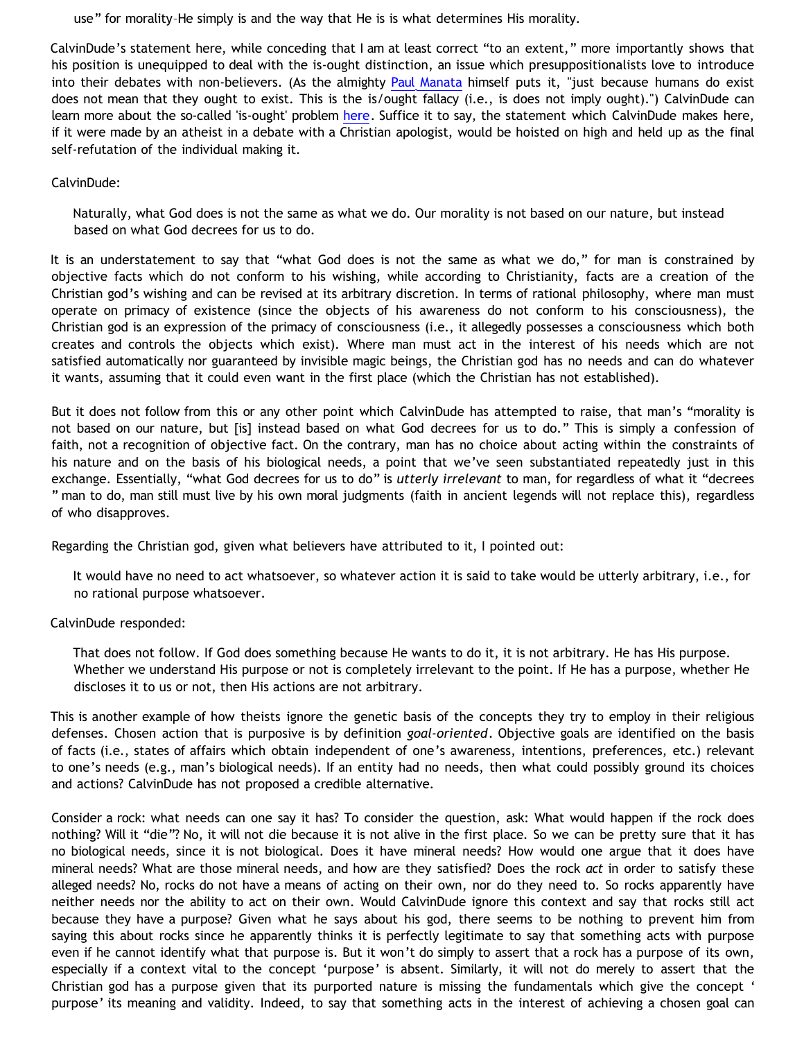use" for morality–He simply is and the way that He is is what determines His morality.

CalvinDude's statement here, while conceding that I am at least correct "to an extent," more importantly shows that his position is unequipped to deal with the is-ought distinction, an issue which presuppositionalists love to introduce into their debates with non-believers. (As the almighty [Paul Manata](http://presstheantithesis.blogspot.com/2006/01/assert-aynisphat.html) himself puts it, "just because humans do exist does not mean that they ought to exist. This is the is/ought fallacy (i.e., is does not imply ought).") CalvinDude can learn more about the so-called 'is-ought' problem [here](http://en.wikipedia.org/wiki/Is-Ought_Problem). Suffice it to say, the statement which CalvinDude makes here, if it were made by an atheist in a debate with a Christian apologist, would be hoisted on high and held up as the final self-refutation of the individual making it.

CalvinDude:

Naturally, what God does is not the same as what we do. Our morality is not based on our nature, but instead based on what God decrees for us to do.

It is an understatement to say that "what God does is not the same as what we do," for man is constrained by objective facts which do not conform to his wishing, while according to Christianity, facts are a creation of the Christian god's wishing and can be revised at its arbitrary discretion. In terms of rational philosophy, where man must operate on primacy of existence (since the objects of his awareness do not conform to his consciousness), the Christian god is an expression of the primacy of consciousness (i.e., it allegedly possesses a consciousness which both creates and controls the objects which exist). Where man must act in the interest of his needs which are not satisfied automatically nor guaranteed by invisible magic beings, the Christian god has no needs and can do whatever it wants, assuming that it could even want in the first place (which the Christian has not established).

But it does not follow from this or any other point which CalvinDude has attempted to raise, that man's "morality is not based on our nature, but [is] instead based on what God decrees for us to do." This is simply a confession of faith, not a recognition of objective fact. On the contrary, man has no choice about acting within the constraints of his nature and on the basis of his biological needs, a point that we've seen substantiated repeatedly just in this exchange. Essentially, "what God decrees for us to do" is *utterly irrelevant* to man, for regardless of what it "decrees " man to do, man still must live by his own moral judgments (faith in ancient legends will not replace this), regardless of who disapproves.

Regarding the Christian god, given what believers have attributed to it, I pointed out:

It would have no need to act whatsoever, so whatever action it is said to take would be utterly arbitrary, i.e., for no rational purpose whatsoever.

CalvinDude responded:

That does not follow. If God does something because He wants to do it, it is not arbitrary. He has His purpose. Whether we understand His purpose or not is completely irrelevant to the point. If He has a purpose, whether He discloses it to us or not, then His actions are not arbitrary.

This is another example of how theists ignore the genetic basis of the concepts they try to employ in their religious defenses. Chosen action that is purposive is by definition *goal-oriented*. Objective goals are identified on the basis of facts (i.e., states of affairs which obtain independent of one's awareness, intentions, preferences, etc.) relevant to one's needs (e.g., man's biological needs). If an entity had no needs, then what could possibly ground its choices and actions? CalvinDude has not proposed a credible alternative.

Consider a rock: what needs can one say it has? To consider the question, ask: What would happen if the rock does nothing? Will it "die"? No, it will not die because it is not alive in the first place. So we can be pretty sure that it has no biological needs, since it is not biological. Does it have mineral needs? How would one argue that it does have mineral needs? What are those mineral needs, and how are they satisfied? Does the rock *act* in order to satisfy these alleged needs? No, rocks do not have a means of acting on their own, nor do they need to. So rocks apparently have neither needs nor the ability to act on their own. Would CalvinDude ignore this context and say that rocks still act because they have a purpose? Given what he says about his god, there seems to be nothing to prevent him from saying this about rocks since he apparently thinks it is perfectly legitimate to say that something acts with purpose even if he cannot identify what that purpose is. But it won't do simply to assert that a rock has a purpose of its own, especially if a context vital to the concept 'purpose' is absent. Similarly, it will not do merely to assert that the Christian god has a purpose given that its purported nature is missing the fundamentals which give the concept ' purpose' its meaning and validity. Indeed, to say that something acts in the interest of achieving a chosen goal can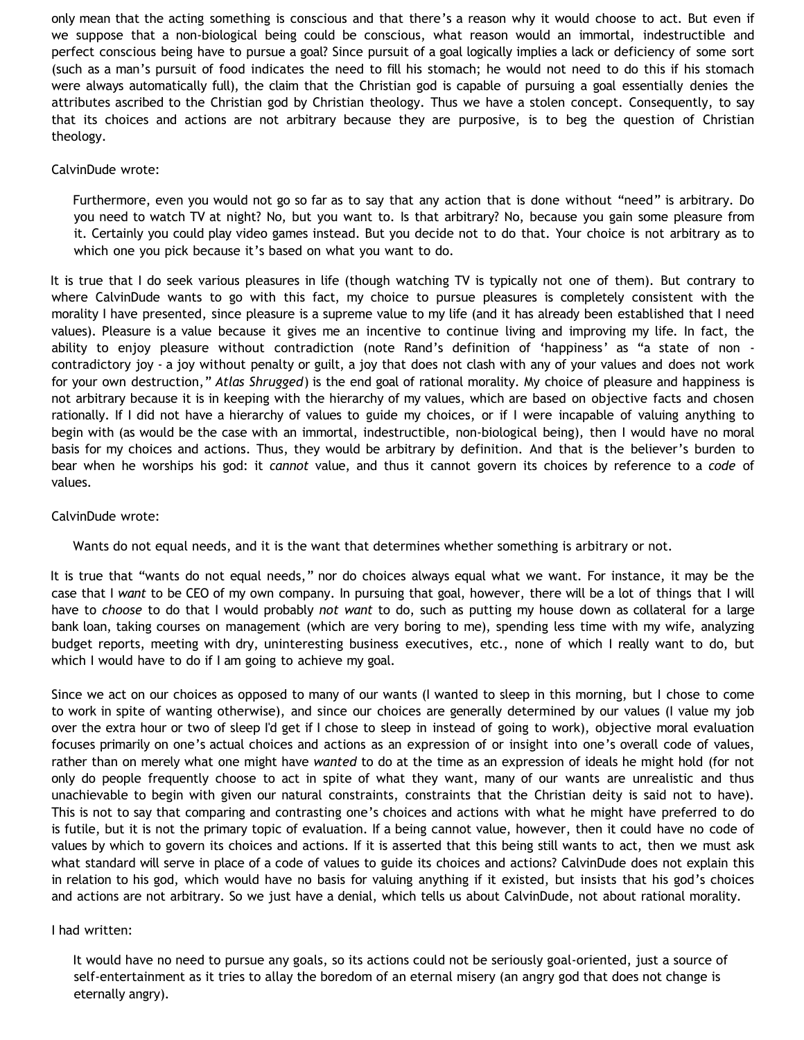only mean that the acting something is conscious and that there's a reason why it would choose to act. But even if we suppose that a non-biological being could be conscious, what reason would an immortal, indestructible and perfect conscious being have to pursue a goal? Since pursuit of a goal logically implies a lack or deficiency of some sort (such as a man's pursuit of food indicates the need to fill his stomach; he would not need to do this if his stomach were always automatically full), the claim that the Christian god is capable of pursuing a goal essentially denies the attributes ascribed to the Christian god by Christian theology. Thus we have a stolen concept. Consequently, to say that its choices and actions are not arbitrary because they are purposive, is to beg the question of Christian theology.

### CalvinDude wrote:

Furthermore, even you would not go so far as to say that any action that is done without "need" is arbitrary. Do you need to watch TV at night? No, but you want to. Is that arbitrary? No, because you gain some pleasure from it. Certainly you could play video games instead. But you decide not to do that. Your choice is not arbitrary as to which one you pick because it's based on what you want to do.

It is true that I do seek various pleasures in life (though watching TV is typically not one of them). But contrary to where CalvinDude wants to go with this fact, my choice to pursue pleasures is completely consistent with the morality I have presented, since pleasure is a supreme value to my life (and it has already been established that I need values). Pleasure is a value because it gives me an incentive to continue living and improving my life. In fact, the ability to enjoy pleasure without contradiction (note Rand's definition of 'happiness' as "a state of non contradictory joy - a joy without penalty or guilt, a joy that does not clash with any of your values and does not work for your own destruction," *Atlas Shrugged*) is the end goal of rational morality. My choice of pleasure and happiness is not arbitrary because it is in keeping with the hierarchy of my values, which are based on objective facts and chosen rationally. If I did not have a hierarchy of values to guide my choices, or if I were incapable of valuing anything to begin with (as would be the case with an immortal, indestructible, non-biological being), then I would have no moral basis for my choices and actions. Thus, they would be arbitrary by definition. And that is the believer's burden to bear when he worships his god: it *cannot* value, and thus it cannot govern its choices by reference to a *code* of values.

# CalvinDude wrote:

Wants do not equal needs, and it is the want that determines whether something is arbitrary or not.

It is true that "wants do not equal needs," nor do choices always equal what we want. For instance, it may be the case that I *want* to be CEO of my own company. In pursuing that goal, however, there will be a lot of things that I will have to *choose* to do that I would probably *not want* to do, such as putting my house down as collateral for a large bank loan, taking courses on management (which are very boring to me), spending less time with my wife, analyzing budget reports, meeting with dry, uninteresting business executives, etc., none of which I really want to do, but which I would have to do if I am going to achieve my goal.

Since we act on our choices as opposed to many of our wants (I wanted to sleep in this morning, but I chose to come to work in spite of wanting otherwise), and since our choices are generally determined by our values (I value my job over the extra hour or two of sleep I'd get if I chose to sleep in instead of going to work), objective moral evaluation focuses primarily on one's actual choices and actions as an expression of or insight into one's overall code of values, rather than on merely what one might have *wanted* to do at the time as an expression of ideals he might hold (for not only do people frequently choose to act in spite of what they want, many of our wants are unrealistic and thus unachievable to begin with given our natural constraints, constraints that the Christian deity is said not to have). This is not to say that comparing and contrasting one's choices and actions with what he might have preferred to do is futile, but it is not the primary topic of evaluation. If a being cannot value, however, then it could have no code of values by which to govern its choices and actions. If it is asserted that this being still wants to act, then we must ask what standard will serve in place of a code of values to guide its choices and actions? CalvinDude does not explain this in relation to his god, which would have no basis for valuing anything if it existed, but insists that his god's choices and actions are not arbitrary. So we just have a denial, which tells us about CalvinDude, not about rational morality.

#### I had written:

It would have no need to pursue any goals, so its actions could not be seriously goal-oriented, just a source of self-entertainment as it tries to allay the boredom of an eternal misery (an angry god that does not change is eternally angry).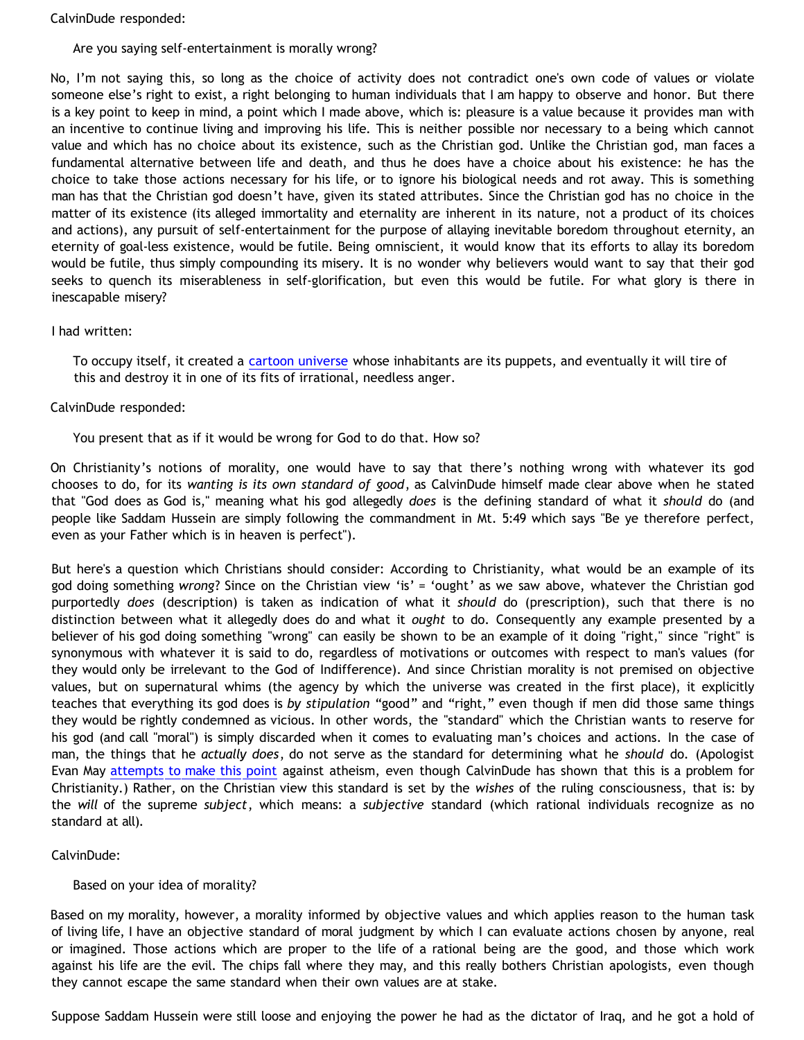CalvinDude responded:

# Are you saying self-entertainment is morally wrong?

No, I'm not saying this, so long as the choice of activity does not contradict one's own code of values or violate someone else's right to exist, a right belonging to human individuals that I am happy to observe and honor. But there is a key point to keep in mind, a point which I made above, which is: pleasure is a value because it provides man with an incentive to continue living and improving his life. This is neither possible nor necessary to a being which cannot value and which has no choice about its existence, such as the Christian god. Unlike the Christian god, man faces a fundamental alternative between life and death, and thus he does have a choice about his existence: he has the choice to take those actions necessary for his life, or to ignore his biological needs and rot away. This is something man has that the Christian god doesn't have, given its stated attributes. Since the Christian god has no choice in the matter of its existence (its alleged immortality and eternality are inherent in its nature, not a product of its choices and actions), any pursuit of self-entertainment for the purpose of allaying inevitable boredom throughout eternity, an eternity of goal-less existence, would be futile. Being omniscient, it would know that its efforts to allay its boredom would be futile, thus simply compounding its misery. It is no wonder why believers would want to say that their god seeks to quench its miserableness in self-glorification, but even this would be futile. For what glory is there in inescapable misery?

# I had written:

To occupy itself, it created a [cartoon universe](http://bahnsenburner.blogspot.com/2005/03/cartoon-universe-of-theism.html) whose inhabitants are its puppets, and eventually it will tire of this and destroy it in one of its fits of irrational, needless anger.

# CalvinDude responded:

You present that as if it would be wrong for God to do that. How so?

On Christianity's notions of morality, one would have to say that there's nothing wrong with whatever its god chooses to do, for its *wanting is its own standard of good*, as CalvinDude himself made clear above when he stated that "God does as God is," meaning what his god allegedly *does* is the defining standard of what it *should* do (and people like Saddam Hussein are simply following the commandment in Mt. 5:49 which says "Be ye therefore perfect, even as your Father which is in heaven is perfect").

But here's a question which Christians should consider: According to Christianity, what would be an example of its god doing something *wrong*? Since on the Christian view 'is' = 'ought' as we saw above, whatever the Christian god purportedly *does* (description) is taken as indication of what it *should* do (prescription), such that there is no distinction between what it allegedly does do and what it *ought* to do. Consequently any example presented by a believer of his god doing something "wrong" can easily be shown to be an example of it doing "right," since "right" is synonymous with whatever it is said to do, regardless of motivations or outcomes with respect to man's values (for they would only be irrelevant to the God of Indifference). And since Christian morality is not premised on objective values, but on supernatural whims (the agency by which the universe was created in the first place), it explicitly teaches that everything its god does is *by stipulation* "good" and "right," even though if men did those same things they would be rightly condemned as vicious. In other words, the "standard" which the Christian wants to reserve for his god (and call "moral") is simply discarded when it comes to evaluating man's choices and actions. In the case of man, the things that he *actually does*, do not serve as the standard for determining what he *should* do. (Apologist Evan May [attempts to make this point](http://triablogue.blogspot.com/2006/03/free-thinkers-never-think-for.html) against atheism, even though CalvinDude has shown that this is a problem for Christianity.) Rather, on the Christian view this standard is set by the *wishes* of the ruling consciousness, that is: by the *will* of the supreme *subject*, which means: a *subjective* standard (which rational individuals recognize as no standard at all).

# CalvinDude:

# Based on your idea of morality?

Based on my morality, however, a morality informed by objective values and which applies reason to the human task of living life, I have an objective standard of moral judgment by which I can evaluate actions chosen by anyone, real or imagined. Those actions which are proper to the life of a rational being are the good, and those which work against his life are the evil. The chips fall where they may, and this really bothers Christian apologists, even though they cannot escape the same standard when their own values are at stake.

Suppose Saddam Hussein were still loose and enjoying the power he had as the dictator of Iraq, and he got a hold of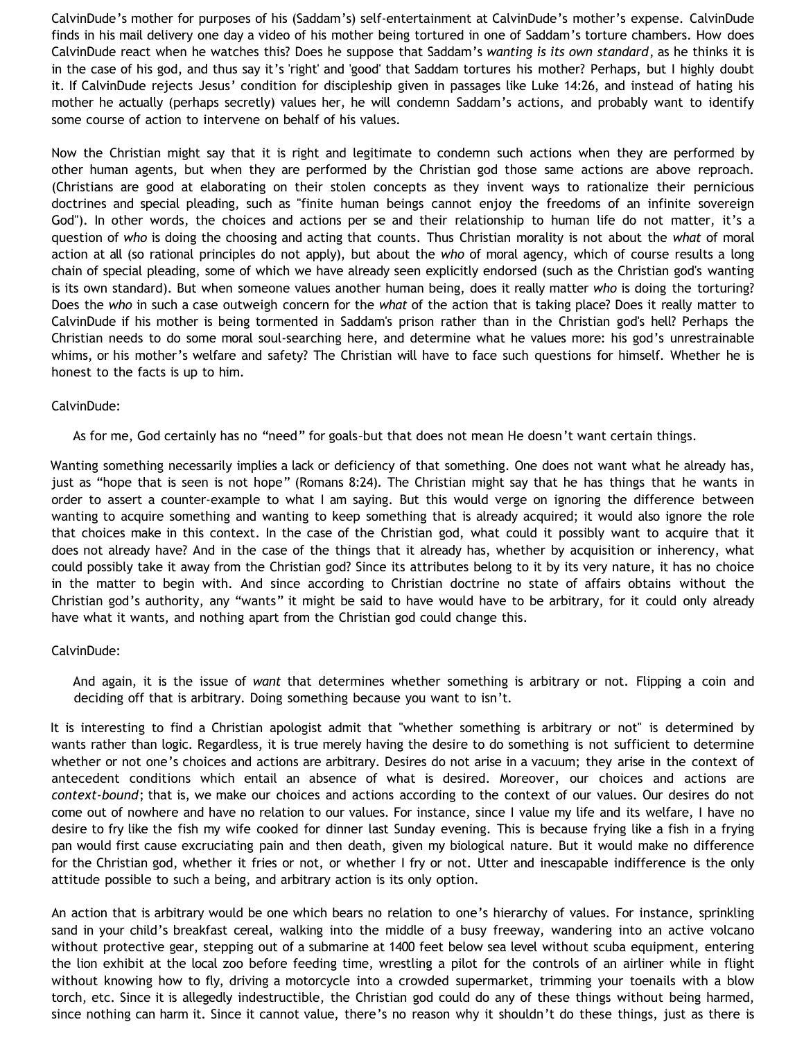CalvinDude's mother for purposes of his (Saddam's) self-entertainment at CalvinDude's mother's expense. CalvinDude finds in his mail delivery one day a video of his mother being tortured in one of Saddam's torture chambers. How does CalvinDude react when he watches this? Does he suppose that Saddam's *wanting is its own standard*, as he thinks it is in the case of his god, and thus say it's 'right' and 'good' that Saddam tortures his mother? Perhaps, but I highly doubt it. If CalvinDude rejects Jesus' condition for discipleship given in passages like Luke 14:26, and instead of hating his mother he actually (perhaps secretly) values her, he will condemn Saddam's actions, and probably want to identify some course of action to intervene on behalf of his values.

Now the Christian might say that it is right and legitimate to condemn such actions when they are performed by other human agents, but when they are performed by the Christian god those same actions are above reproach. (Christians are good at elaborating on their stolen concepts as they invent ways to rationalize their pernicious doctrines and special pleading, such as "finite human beings cannot enjoy the freedoms of an infinite sovereign God"). In other words, the choices and actions per se and their relationship to human life do not matter, it's a question of *who* is doing the choosing and acting that counts. Thus Christian morality is not about the *what* of moral action at all (so rational principles do not apply), but about the *who* of moral agency, which of course results a long chain of special pleading, some of which we have already seen explicitly endorsed (such as the Christian god's wanting is its own standard). But when someone values another human being, does it really matter *who* is doing the torturing? Does the *who* in such a case outweigh concern for the *what* of the action that is taking place? Does it really matter to CalvinDude if his mother is being tormented in Saddam's prison rather than in the Christian god's hell? Perhaps the Christian needs to do some moral soul-searching here, and determine what he values more: his god's unrestrainable whims, or his mother's welfare and safety? The Christian will have to face such questions for himself. Whether he is honest to the facts is up to him.

# CalvinDude:

As for me, God certainly has no "need" for goals–but that does not mean He doesn't want certain things.

Wanting something necessarily implies a lack or deficiency of that something. One does not want what he already has, just as "hope that is seen is not hope" (Romans 8:24). The Christian might say that he has things that he wants in order to assert a counter-example to what I am saying. But this would verge on ignoring the difference between wanting to acquire something and wanting to keep something that is already acquired; it would also ignore the role that choices make in this context. In the case of the Christian god, what could it possibly want to acquire that it does not already have? And in the case of the things that it already has, whether by acquisition or inherency, what could possibly take it away from the Christian god? Since its attributes belong to it by its very nature, it has no choice in the matter to begin with. And since according to Christian doctrine no state of affairs obtains without the Christian god's authority, any "wants" it might be said to have would have to be arbitrary, for it could only already have what it wants, and nothing apart from the Christian god could change this.

#### CalvinDude:

And again, it is the issue of *want* that determines whether something is arbitrary or not. Flipping a coin and deciding off that is arbitrary. Doing something because you want to isn't.

It is interesting to find a Christian apologist admit that "whether something is arbitrary or not" is determined by wants rather than logic. Regardless, it is true merely having the desire to do something is not sufficient to determine whether or not one's choices and actions are arbitrary. Desires do not arise in a vacuum; they arise in the context of antecedent conditions which entail an absence of what is desired. Moreover, our choices and actions are *context-bound*; that is, we make our choices and actions according to the context of our values. Our desires do not come out of nowhere and have no relation to our values. For instance, since I value my life and its welfare, I have no desire to fry like the fish my wife cooked for dinner last Sunday evening. This is because frying like a fish in a frying pan would first cause excruciating pain and then death, given my biological nature. But it would make no difference for the Christian god, whether it fries or not, or whether I fry or not. Utter and inescapable indifference is the only attitude possible to such a being, and arbitrary action is its only option.

An action that is arbitrary would be one which bears no relation to one's hierarchy of values. For instance, sprinkling sand in your child's breakfast cereal, walking into the middle of a busy freeway, wandering into an active volcano without protective gear, stepping out of a submarine at 1400 feet below sea level without scuba equipment, entering the lion exhibit at the local zoo before feeding time, wrestling a pilot for the controls of an airliner while in flight without knowing how to fly, driving a motorcycle into a crowded supermarket, trimming your toenails with a blow torch, etc. Since it is allegedly indestructible, the Christian god could do any of these things without being harmed, since nothing can harm it. Since it cannot value, there's no reason why it shouldn't do these things, just as there is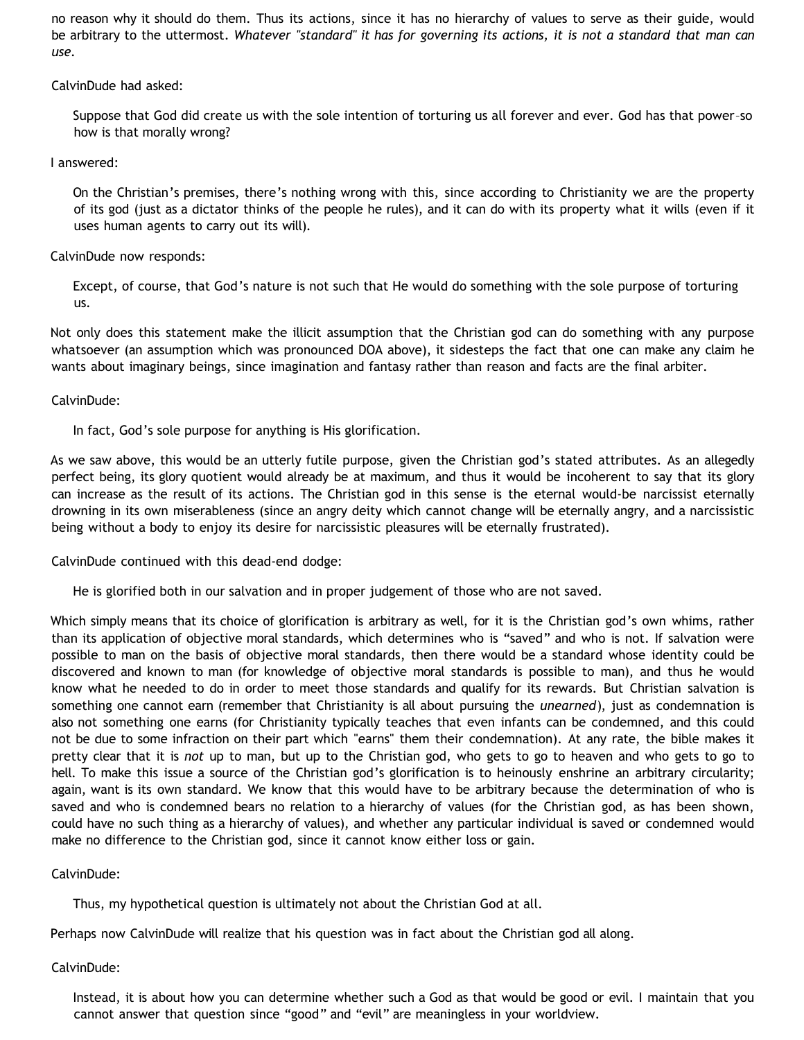no reason why it should do them. Thus its actions, since it has no hierarchy of values to serve as their guide, would be arbitrary to the uttermost. *Whatever "standard" it has for governing its actions, it is not a standard that man can use.*

CalvinDude had asked:

Suppose that God did create us with the sole intention of torturing us all forever and ever. God has that power–so how is that morally wrong?

I answered:

On the Christian's premises, there's nothing wrong with this, since according to Christianity we are the property of its god (just as a dictator thinks of the people he rules), and it can do with its property what it wills (even if it uses human agents to carry out its will).

CalvinDude now responds:

Except, of course, that God's nature is not such that He would do something with the sole purpose of torturing us.

Not only does this statement make the illicit assumption that the Christian god can do something with any purpose whatsoever (an assumption which was pronounced DOA above), it sidesteps the fact that one can make any claim he wants about imaginary beings, since imagination and fantasy rather than reason and facts are the final arbiter.

CalvinDude:

In fact, God's sole purpose for anything is His glorification.

As we saw above, this would be an utterly futile purpose, given the Christian god's stated attributes. As an allegedly perfect being, its glory quotient would already be at maximum, and thus it would be incoherent to say that its glory can increase as the result of its actions. The Christian god in this sense is the eternal would-be narcissist eternally drowning in its own miserableness (since an angry deity which cannot change will be eternally angry, and a narcissistic being without a body to enjoy its desire for narcissistic pleasures will be eternally frustrated).

CalvinDude continued with this dead-end dodge:

He is glorified both in our salvation and in proper judgement of those who are not saved.

Which simply means that its choice of glorification is arbitrary as well, for it is the Christian god's own whims, rather than its application of objective moral standards, which determines who is "saved" and who is not. If salvation were possible to man on the basis of objective moral standards, then there would be a standard whose identity could be discovered and known to man (for knowledge of objective moral standards is possible to man), and thus he would know what he needed to do in order to meet those standards and qualify for its rewards. But Christian salvation is something one cannot earn (remember that Christianity is all about pursuing the *unearned*), just as condemnation is also not something one earns (for Christianity typically teaches that even infants can be condemned, and this could not be due to some infraction on their part which "earns" them their condemnation). At any rate, the bible makes it pretty clear that it is *not* up to man, but up to the Christian god, who gets to go to heaven and who gets to go to hell. To make this issue a source of the Christian god's glorification is to heinously enshrine an arbitrary circularity; again, want is its own standard. We know that this would have to be arbitrary because the determination of who is saved and who is condemned bears no relation to a hierarchy of values (for the Christian god, as has been shown, could have no such thing as a hierarchy of values), and whether any particular individual is saved or condemned would make no difference to the Christian god, since it cannot know either loss or gain.

CalvinDude:

Thus, my hypothetical question is ultimately not about the Christian God at all.

Perhaps now CalvinDude will realize that his question was in fact about the Christian god all along.

CalvinDude:

Instead, it is about how you can determine whether such a God as that would be good or evil. I maintain that you cannot answer that question since "good" and "evil" are meaningless in your worldview.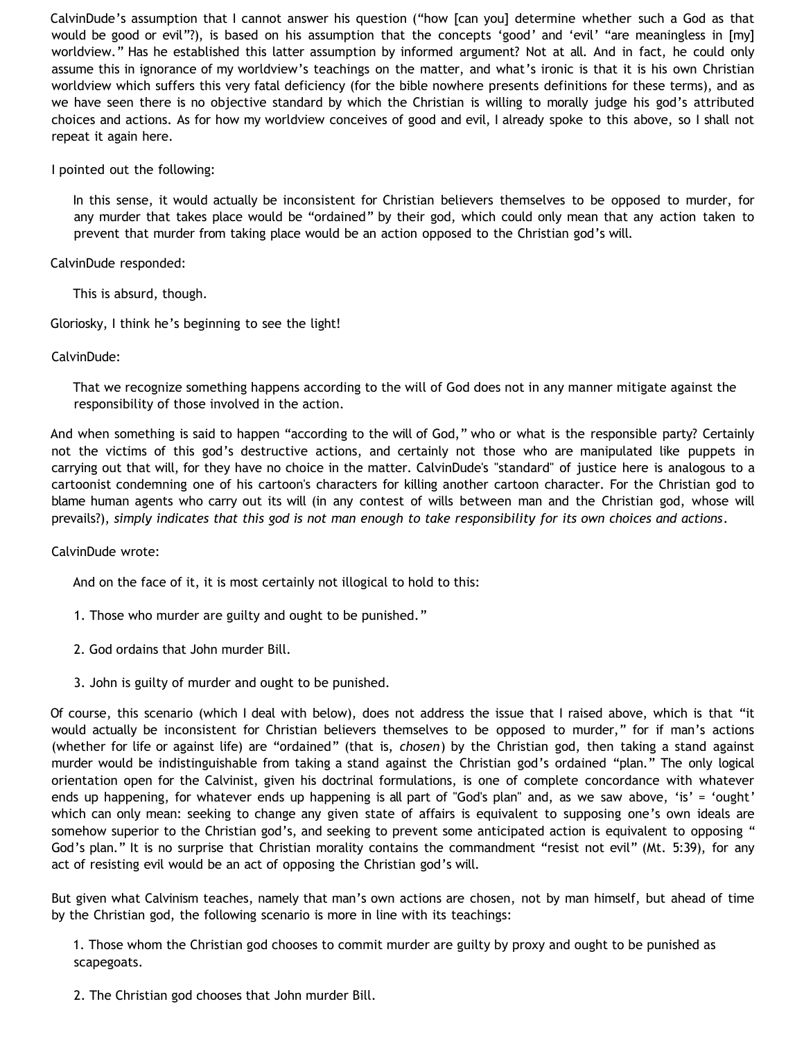CalvinDude's assumption that I cannot answer his question ("how [can you] determine whether such a God as that would be good or evil"?), is based on his assumption that the concepts 'good' and 'evil' "are meaningless in [my] worldview." Has he established this latter assumption by informed argument? Not at all. And in fact, he could only assume this in ignorance of my worldview's teachings on the matter, and what's ironic is that it is his own Christian worldview which suffers this very fatal deficiency (for the bible nowhere presents definitions for these terms), and as we have seen there is no objective standard by which the Christian is willing to morally judge his god's attributed choices and actions. As for how my worldview conceives of good and evil, I already spoke to this above, so I shall not repeat it again here.

I pointed out the following:

In this sense, it would actually be inconsistent for Christian believers themselves to be opposed to murder, for any murder that takes place would be "ordained" by their god, which could only mean that any action taken to prevent that murder from taking place would be an action opposed to the Christian god's will.

CalvinDude responded:

This is absurd, though.

Gloriosky, I think he's beginning to see the light!

CalvinDude:

That we recognize something happens according to the will of God does not in any manner mitigate against the responsibility of those involved in the action.

And when something is said to happen "according to the will of God," who or what is the responsible party? Certainly not the victims of this god's destructive actions, and certainly not those who are manipulated like puppets in carrying out that will, for they have no choice in the matter. CalvinDude's "standard" of justice here is analogous to a cartoonist condemning one of his cartoon's characters for killing another cartoon character. For the Christian god to blame human agents who carry out its will (in any contest of wills between man and the Christian god, whose will prevails?), *simply indicates that this god is not man enough to take responsibility for its own choices and actions*.

CalvinDude wrote:

And on the face of it, it is most certainly not illogical to hold to this:

- 1. Those who murder are guilty and ought to be punished."
- 2. God ordains that John murder Bill.
- 3. John is guilty of murder and ought to be punished.

Of course, this scenario (which I deal with below), does not address the issue that I raised above, which is that "it would actually be inconsistent for Christian believers themselves to be opposed to murder," for if man's actions (whether for life or against life) are "ordained" (that is, *chosen*) by the Christian god, then taking a stand against murder would be indistinguishable from taking a stand against the Christian god's ordained "plan." The only logical orientation open for the Calvinist, given his doctrinal formulations, is one of complete concordance with whatever ends up happening, for whatever ends up happening is all part of "God's plan" and, as we saw above, 'is' = 'ought' which can only mean: seeking to change any given state of affairs is equivalent to supposing one's own ideals are somehow superior to the Christian god's, and seeking to prevent some anticipated action is equivalent to opposing " God's plan." It is no surprise that Christian morality contains the commandment "resist not evil" (Mt. 5:39), for any act of resisting evil would be an act of opposing the Christian god's will.

But given what Calvinism teaches, namely that man's own actions are chosen, not by man himself, but ahead of time by the Christian god, the following scenario is more in line with its teachings:

1. Those whom the Christian god chooses to commit murder are guilty by proxy and ought to be punished as scapegoats.

2. The Christian god chooses that John murder Bill.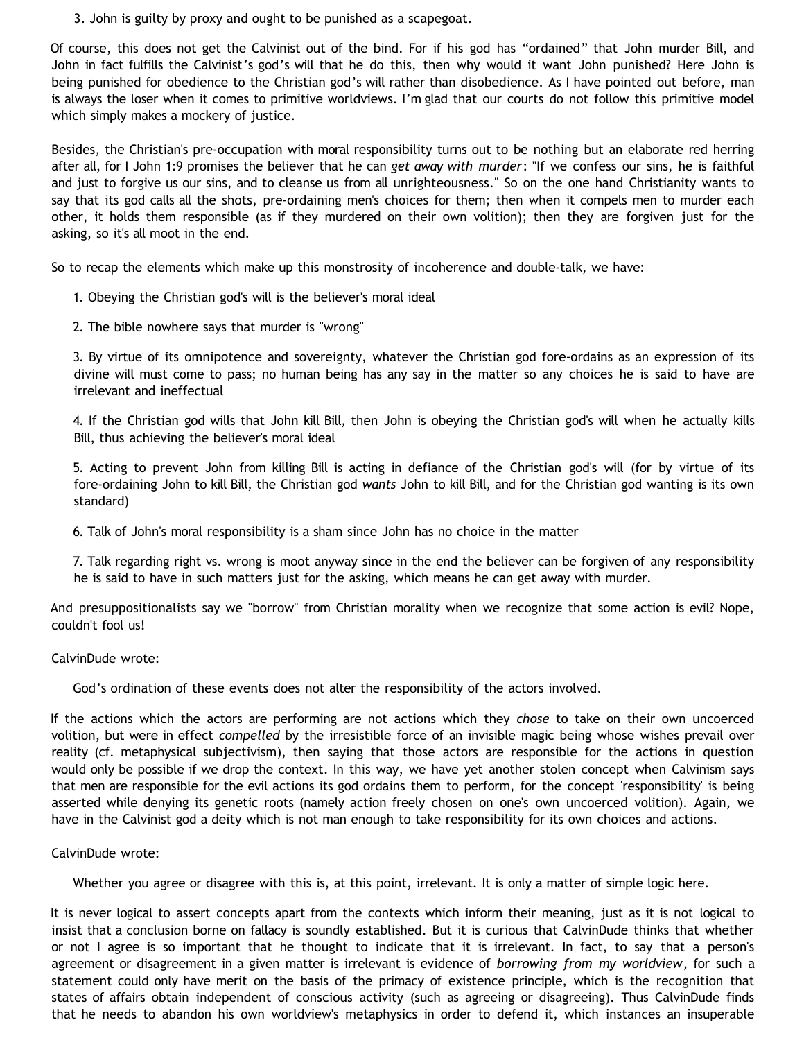3. John is guilty by proxy and ought to be punished as a scapegoat.

Of course, this does not get the Calvinist out of the bind. For if his god has "ordained" that John murder Bill, and John in fact fulfills the Calvinist's god's will that he do this, then why would it want John punished? Here John is being punished for obedience to the Christian god's will rather than disobedience. As I have pointed out before, man is always the loser when it comes to primitive worldviews. I'm glad that our courts do not follow this primitive model which simply makes a mockery of justice.

Besides, the Christian's pre-occupation with moral responsibility turns out to be nothing but an elaborate red herring after all, for I John 1:9 promises the believer that he can *get away with murder*: "If we confess our sins, he is faithful and just to forgive us our sins, and to cleanse us from all unrighteousness." So on the one hand Christianity wants to say that its god calls all the shots, pre-ordaining men's choices for them; then when it compels men to murder each other, it holds them responsible (as if they murdered on their own volition); then they are forgiven just for the asking, so it's all moot in the end.

So to recap the elements which make up this monstrosity of incoherence and double-talk, we have:

- 1. Obeying the Christian god's will is the believer's moral ideal
- 2. The bible nowhere says that murder is "wrong"

3. By virtue of its omnipotence and sovereignty, whatever the Christian god fore-ordains as an expression of its divine will must come to pass; no human being has any say in the matter so any choices he is said to have are irrelevant and ineffectual

4. If the Christian god wills that John kill Bill, then John is obeying the Christian god's will when he actually kills Bill, thus achieving the believer's moral ideal

5. Acting to prevent John from killing Bill is acting in defiance of the Christian god's will (for by virtue of its fore-ordaining John to kill Bill, the Christian god *wants* John to kill Bill, and for the Christian god wanting is its own standard)

6. Talk of John's moral responsibility is a sham since John has no choice in the matter

7. Talk regarding right vs. wrong is moot anyway since in the end the believer can be forgiven of any responsibility he is said to have in such matters just for the asking, which means he can get away with murder.

And presuppositionalists say we "borrow" from Christian morality when we recognize that some action is evil? Nope, couldn't fool us!

CalvinDude wrote:

God's ordination of these events does not alter the responsibility of the actors involved.

If the actions which the actors are performing are not actions which they *chose* to take on their own uncoerced volition, but were in effect *compelled* by the irresistible force of an invisible magic being whose wishes prevail over reality (cf. metaphysical subjectivism), then saying that those actors are responsible for the actions in question would only be possible if we drop the context. In this way, we have yet another stolen concept when Calvinism says that men are responsible for the evil actions its god ordains them to perform, for the concept 'responsibility' is being asserted while denying its genetic roots (namely action freely chosen on one's own uncoerced volition). Again, we have in the Calvinist god a deity which is not man enough to take responsibility for its own choices and actions.

CalvinDude wrote:

Whether you agree or disagree with this is, at this point, irrelevant. It is only a matter of simple logic here.

It is never logical to assert concepts apart from the contexts which inform their meaning, just as it is not logical to insist that a conclusion borne on fallacy is soundly established. But it is curious that CalvinDude thinks that whether or not I agree is so important that he thought to indicate that it is irrelevant. In fact, to say that a person's agreement or disagreement in a given matter is irrelevant is evidence of *borrowing from my worldview*, for such a statement could only have merit on the basis of the primacy of existence principle, which is the recognition that states of affairs obtain independent of conscious activity (such as agreeing or disagreeing). Thus CalvinDude finds that he needs to abandon his own worldview's metaphysics in order to defend it, which instances an insuperable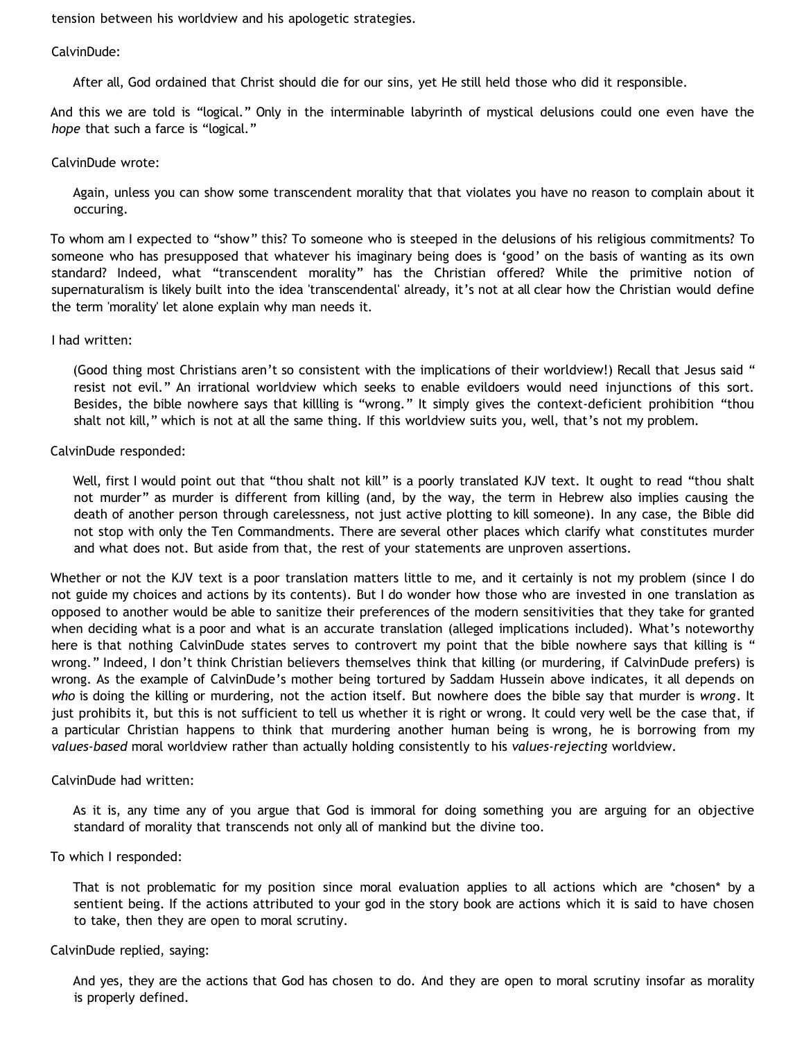tension between his worldview and his apologetic strategies.

#### CalvinDude:

After all, God ordained that Christ should die for our sins, yet He still held those who did it responsible.

And this we are told is "logical." Only in the interminable labyrinth of mystical delusions could one even have the *hope* that such a farce is "logical."

#### CalvinDude wrote:

Again, unless you can show some transcendent morality that that violates you have no reason to complain about it occuring.

To whom am I expected to "show" this? To someone who is steeped in the delusions of his religious commitments? To someone who has presupposed that whatever his imaginary being does is 'good' on the basis of wanting as its own standard? Indeed, what "transcendent morality" has the Christian offered? While the primitive notion of supernaturalism is likely built into the idea 'transcendental' already, it's not at all clear how the Christian would define the term 'morality' let alone explain why man needs it.

#### I had written:

(Good thing most Christians aren't so consistent with the implications of their worldview!) Recall that Jesus said " resist not evil." An irrational worldview which seeks to enable evildoers would need injunctions of this sort. Besides, the bible nowhere says that killling is "wrong." It simply gives the context-deficient prohibition "thou shalt not kill," which is not at all the same thing. If this worldview suits you, well, that's not my problem.

#### CalvinDude responded:

Well, first I would point out that "thou shalt not kill" is a poorly translated KJV text. It ought to read "thou shalt not murder" as murder is different from killing (and, by the way, the term in Hebrew also implies causing the death of another person through carelessness, not just active plotting to kill someone). In any case, the Bible did not stop with only the Ten Commandments. There are several other places which clarify what constitutes murder and what does not. But aside from that, the rest of your statements are unproven assertions.

Whether or not the KJV text is a poor translation matters little to me, and it certainly is not my problem (since I do not guide my choices and actions by its contents). But I do wonder how those who are invested in one translation as opposed to another would be able to sanitize their preferences of the modern sensitivities that they take for granted when deciding what is a poor and what is an accurate translation (alleged implications included). What's noteworthy here is that nothing CalvinDude states serves to controvert my point that the bible nowhere says that killing is " wrong." Indeed, I don't think Christian believers themselves think that killing (or murdering, if CalvinDude prefers) is wrong. As the example of CalvinDude's mother being tortured by Saddam Hussein above indicates, it all depends on *who* is doing the killing or murdering, not the action itself. But nowhere does the bible say that murder is *wrong*. It just prohibits it, but this is not sufficient to tell us whether it is right or wrong. It could very well be the case that, if a particular Christian happens to think that murdering another human being is wrong, he is borrowing from my *values-based* moral worldview rather than actually holding consistently to his *values-rejecting* worldview.

#### CalvinDude had written:

As it is, any time any of you argue that God is immoral for doing something you are arguing for an objective standard of morality that transcends not only all of mankind but the divine too.

#### To which I responded:

That is not problematic for my position since moral evaluation applies to all actions which are \*chosen\* by a sentient being. If the actions attributed to your god in the story book are actions which it is said to have chosen to take, then they are open to moral scrutiny.

#### CalvinDude replied, saying:

And yes, they are the actions that God has chosen to do. And they are open to moral scrutiny insofar as morality is properly defined.